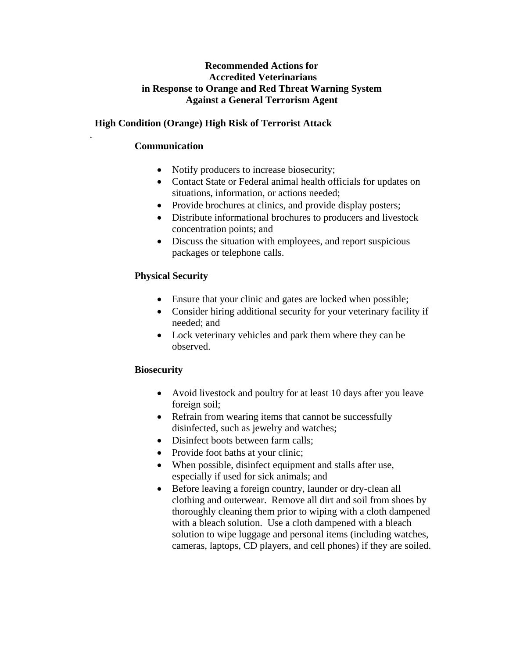### **Recommended Actions for Accredited Veterinarians in Response to Orange and Red Threat Warning System Against a General Terrorism Agent**

# **High Condition (Orange) High Risk of Terrorist Attack**

## **Communication**

.

- Notify producers to increase biosecurity;
- Contact State or Federal animal health officials for updates on situations, information, or actions needed;
- Provide brochures at clinics, and provide display posters;
- Distribute informational brochures to producers and livestock concentration points; and
- Discuss the situation with employees, and report suspicious packages or telephone calls.

# **Physical Security**

- Ensure that your clinic and gates are locked when possible;
- Consider hiring additional security for your veterinary facility if needed; and
- Lock veterinary vehicles and park them where they can be observed.

### **Biosecurity**

- Avoid livestock and poultry for at least 10 days after you leave foreign soil;
- Refrain from wearing items that cannot be successfully disinfected, such as jewelry and watches;
- Disinfect boots between farm calls:
- Provide foot baths at your clinic;
- When possible, disinfect equipment and stalls after use, especially if used for sick animals; and
- Before leaving a foreign country, launder or dry-clean all clothing and outerwear. Remove all dirt and soil from shoes by thoroughly cleaning them prior to wiping with a cloth dampened with a bleach solution. Use a cloth dampened with a bleach solution to wipe luggage and personal items (including watches, cameras, laptops, CD players, and cell phones) if they are soiled.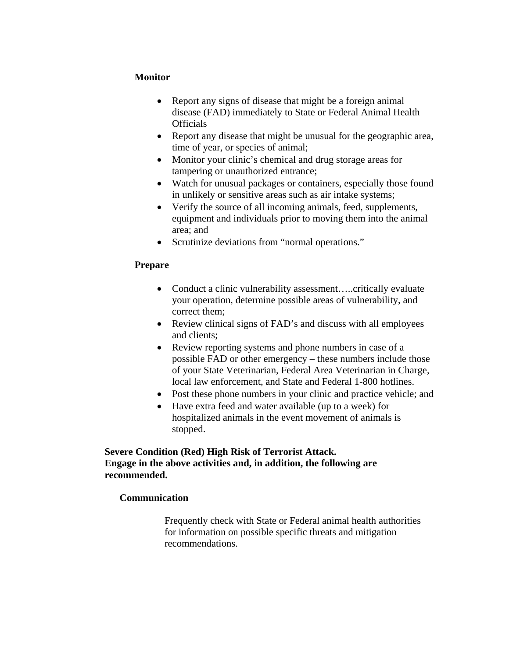### **Monitor**

- Report any signs of disease that might be a foreign animal disease (FAD) immediately to State or Federal Animal Health **Officials**
- Report any disease that might be unusual for the geographic area, time of year, or species of animal;
- Monitor your clinic's chemical and drug storage areas for tampering or unauthorized entrance;
- Watch for unusual packages or containers, especially those found in unlikely or sensitive areas such as air intake systems;
- Verify the source of all incoming animals, feed, supplements, equipment and individuals prior to moving them into the animal area; and
- Scrutinize deviations from "normal operations."

#### **Prepare**

- Conduct a clinic vulnerability assessment.....critically evaluate your operation, determine possible areas of vulnerability, and correct them;
- Review clinical signs of FAD's and discuss with all employees and clients;
- Review reporting systems and phone numbers in case of a possible FAD or other emergency – these numbers include those of your State Veterinarian, Federal Area Veterinarian in Charge, local law enforcement, and State and Federal 1-800 hotlines.
- Post these phone numbers in your clinic and practice vehicle; and
- Have extra feed and water available (up to a week) for hospitalized animals in the event movement of animals is stopped.

#### **Severe Condition (Red) High Risk of Terrorist Attack. Engage in the above activities and, in addition, the following are recommended.**

### **Communication**

Frequently check with State or Federal animal health authorities for information on possible specific threats and mitigation recommendations.